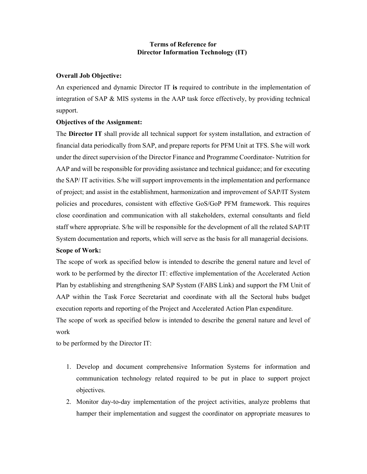# Terms of Reference for Director Information Technology (IT)

# Overall Job Objective:

An experienced and dynamic Director IT is required to contribute in the implementation of integration of SAP & MIS systems in the AAP task force effectively, by providing technical support.

## Objectives of the Assignment:

The Director IT shall provide all technical support for system installation, and extraction of financial data periodically from SAP, and prepare reports for PFM Unit at TFS. S/he will work under the direct supervision of the Director Finance and Programme Coordinator- Nutrition for AAP and will be responsible for providing assistance and technical guidance; and for executing the SAP/ IT activities. S/he will support improvements in the implementation and performance of project; and assist in the establishment, harmonization and improvement of SAP/IT System policies and procedures, consistent with effective GoS/GoP PFM framework. This requires close coordination and communication with all stakeholders, external consultants and field staff where appropriate. S/he will be responsible for the development of all the related SAP/IT System documentation and reports, which will serve as the basis for all managerial decisions.

## Scope of Work:

The scope of work as specified below is intended to describe the general nature and level of work to be performed by the director IT: effective implementation of the Accelerated Action Plan by establishing and strengthening SAP System (FABS Link) and support the FM Unit of AAP within the Task Force Secretariat and coordinate with all the Sectoral hubs budget execution reports and reporting of the Project and Accelerated Action Plan expenditure. The scope of work as specified below is intended to describe the general nature and level of

## work

to be performed by the Director IT:

- 1. Develop and document comprehensive Information Systems for information and communication technology related required to be put in place to support project objectives.
- 2. Monitor day-to-day implementation of the project activities, analyze problems that hamper their implementation and suggest the coordinator on appropriate measures to